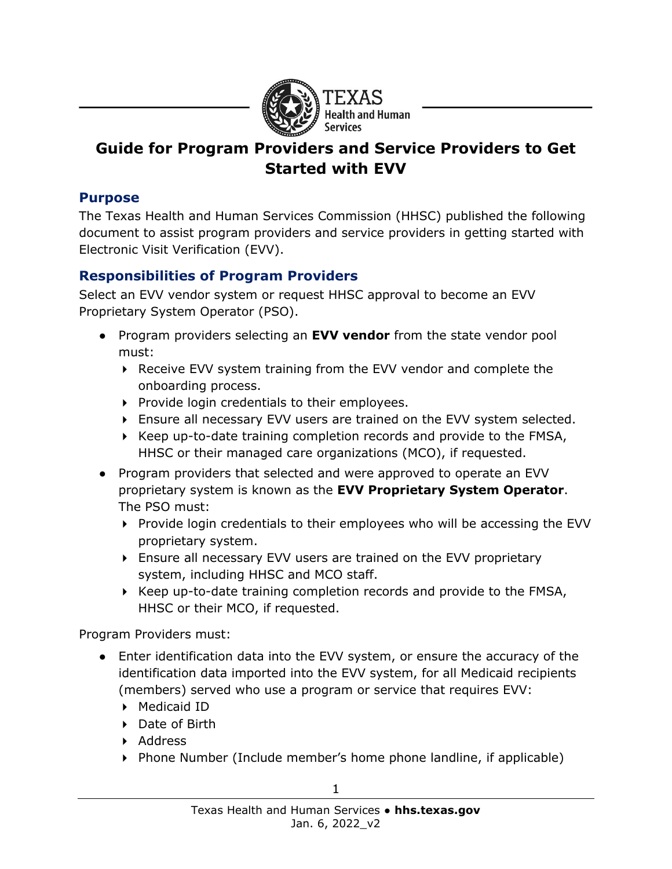

# **Guide for Program Providers and Service Providers to Get Started with EVV**

#### **Purpose**

The Texas Health and Human Services Commission (HHSC) published the following document to assist program providers and service providers in getting started with Electronic Visit Verification (EVV).

### **Responsibilities of Program Providers**

Select an EVV vendor system or request HHSC approval to become an EVV Proprietary System Operator (PSO).

- Program providers selecting an **EVV vendor** from the state vendor pool must:
	- ▶ Receive EVV system training from the EVV vendor and complete the onboarding process.
	- $\triangleright$  Provide login credentials to their employees.
	- Ensure all necessary EVV users are trained on the EVV system selected.
	- $\triangleright$  Keep up-to-date training completion records and provide to the FMSA, HHSC or their managed care organizations (MCO), if requested.
- Program providers that selected and were approved to operate an EVV proprietary system is known as the **EVV Proprietary System Operator**. The PSO must:
	- Provide login credentials to their employees who will be accessing the EVV proprietary system.
	- Ensure all necessary EVV users are trained on the EVV proprietary system, including HHSC and MCO staff.
	- ▶ Keep up-to-date training completion records and provide to the FMSA, HHSC or their MCO, if requested.

Program Providers must:

- Enter identification data into the EVV system, or ensure the accuracy of the identification data imported into the EVV system, for all Medicaid recipients (members) served who use a program or service that requires EVV:
	- ▶ Medicaid ID
	- ▶ Date of Birth
	- ▶ Address
	- Phone Number (Include member's home phone landline, if applicable)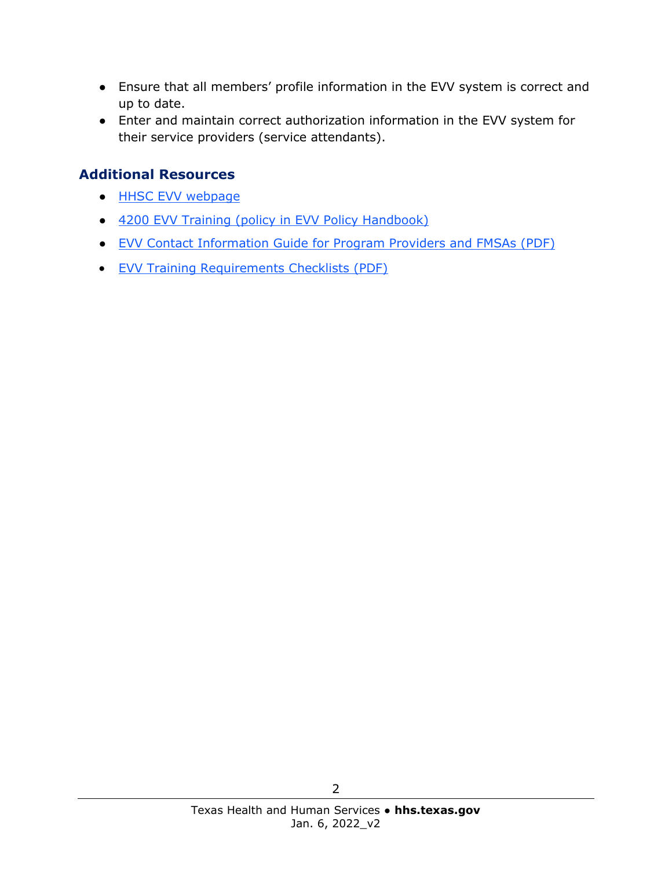- Ensure that all members' profile information in the EVV system is correct and up to date.
- Enter and maintain correct authorization information in the EVV system for their service providers (service attendants).

#### **Additional Resources**

- [HHSC EVV webpage](https://hhs.texas.gov/doing-business-hhs/provider-portals/long-term-care-providers/resources/electronic-visit-verification)
- [4200 EVV Training \(policy in EVV Policy Handbook\)](https://www.hhs.texas.gov/handbooks/electronic-visit-verification-policy-handbook/4000-evv-system-setup#4200)
- [EVV Contact Information Guide for Program Providers and FMSAs](https://hhs.texas.gov/sites/default/files/documents/doing-business-with-hhs/providers/long-term-care/evv/evv-contact-information-guide.pdf) (PDF)
- [EVV Training Requirements Checklists \(PDF\)](https://www.hhs.texas.gov/sites/default/files/documents/doing-business-with-hhs/providers/long-term-care/evv/evv-required-training-checklist.pdf)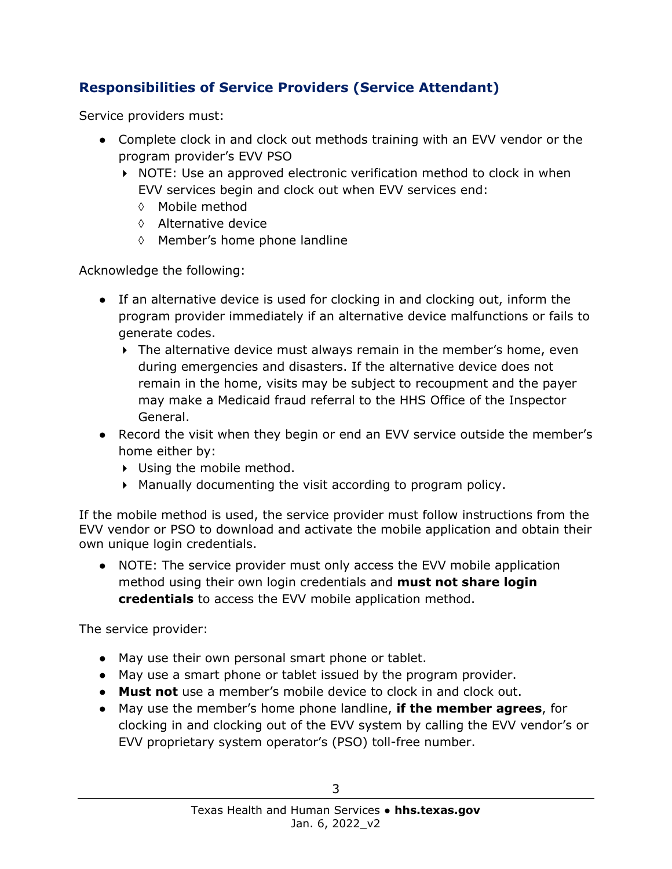## **Responsibilities of Service Providers (Service Attendant)**

Service providers must:

- Complete clock in and clock out methods training with an EVV vendor or the program provider's EVV PSO
	- $\triangleright$  NOTE: Use an approved electronic verification method to clock in when EVV services begin and clock out when EVV services end:
		- ◊ Mobile method
		- ◊ Alternative device
		- ◊ Member's home phone landline

Acknowledge the following:

- If an alternative device is used for clocking in and clocking out, inform the program provider immediately if an alternative device malfunctions or fails to generate codes.
	- The alternative device must always remain in the member's home, even during emergencies and disasters. If the alternative device does not remain in the home, visits may be subject to recoupment and the payer may make a Medicaid fraud referral to the HHS Office of the Inspector General.
- Record the visit when they begin or end an EVV service outside the member's home either by:
	- Using the mobile method.
	- Manually documenting the visit according to program policy.

If the mobile method is used, the service provider must follow instructions from the EVV vendor or PSO to download and activate the mobile application and obtain their own unique login credentials.

• NOTE: The service provider must only access the EVV mobile application method using their own login credentials and **must not share login credentials** to access the EVV mobile application method.

The service provider:

- May use their own personal smart phone or tablet.
- May use a smart phone or tablet issued by the program provider.
- **Must not** use a member's mobile device to clock in and clock out.
- May use the member's home phone landline, **if the member agrees**, for clocking in and clocking out of the EVV system by calling the EVV vendor's or EVV proprietary system operator's (PSO) toll-free number.